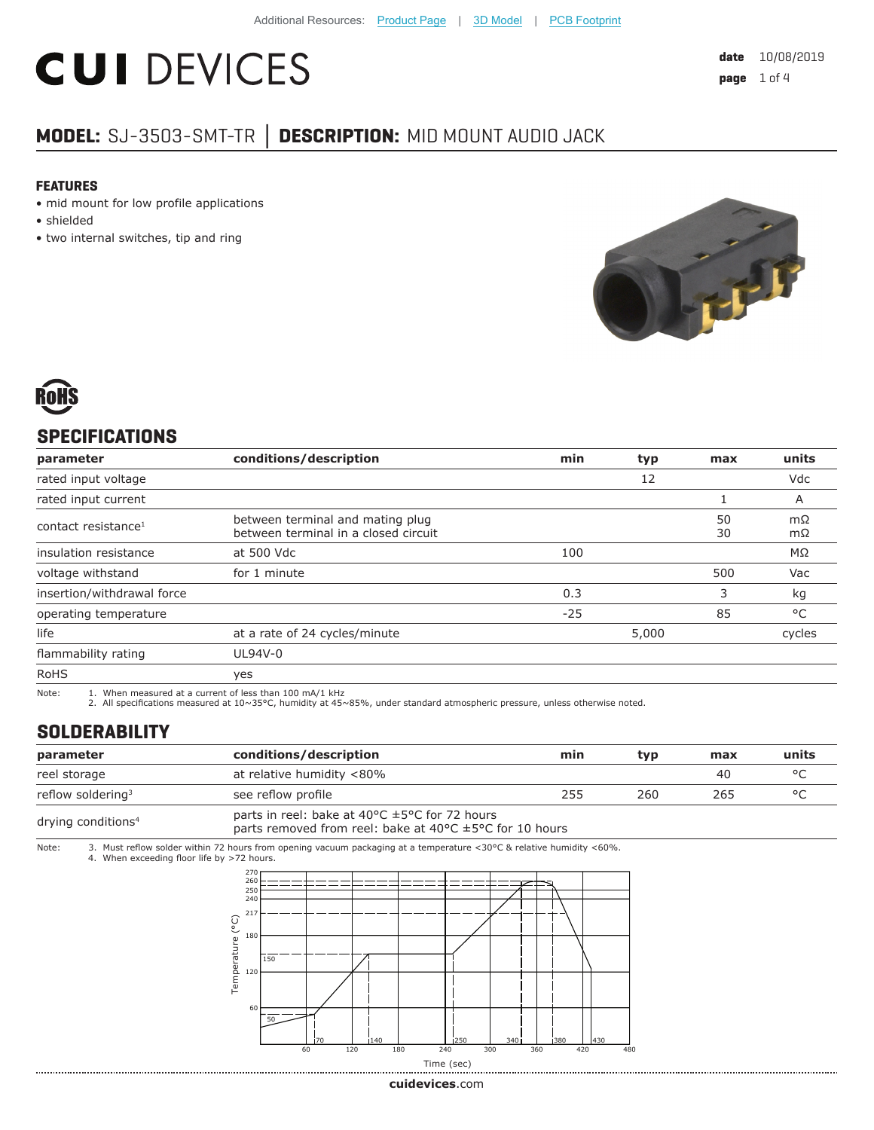# **CUI DEVICES**

### **MODEL:** SJ-3503-SMT-TR **│ DESCRIPTION:** MID MOUNT AUDIO JACK

#### **FEATURES**

- mid mount for low profile applications
- shielded
- two internal switches, tip and ring





#### **SPECIFICATIONS**

| parameter                       | conditions/description                                                   | min   | typ   | max      | units           |
|---------------------------------|--------------------------------------------------------------------------|-------|-------|----------|-----------------|
| rated input voltage             |                                                                          |       | 12    |          | Vdc             |
| rated input current             |                                                                          |       |       |          | A               |
| contact resistance <sup>1</sup> | between terminal and mating plug<br>between terminal in a closed circuit |       |       | 50<br>30 | mΩ<br>$m\Omega$ |
| insulation resistance           | at 500 Vdc                                                               | 100   |       |          | $M\Omega$       |
| voltage withstand               | for 1 minute                                                             |       |       | 500      | Vac             |
| insertion/withdrawal force      |                                                                          | 0.3   |       | 3        | kg              |
| operating temperature           |                                                                          | $-25$ |       | 85       | °C              |
| life                            | at a rate of 24 cycles/minute                                            |       | 5,000 |          | cycles          |
| flammability rating             | UL94V-0                                                                  |       |       |          |                 |
| <b>RoHS</b>                     | yes                                                                      |       |       |          |                 |

Note: 1. When measured at a current of less than 100 mA/1 kHz

2. All specifications measured at  $10~35^{\circ}$ C, humidity at  $45~85\%$ , under standard atmospheric pressure, unless otherwise noted.

#### **SOLDERABILITY**

| parameter                      | conditions/description                                                                                                                                     | min | typ | max | units   |
|--------------------------------|------------------------------------------------------------------------------------------------------------------------------------------------------------|-----|-----|-----|---------|
| reel storage                   | at relative humidity <80%                                                                                                                                  |     |     | 40  | $\circ$ |
| reflow soldering <sup>3</sup>  | see reflow profile                                                                                                                                         | 255 | 260 | 265 | $\circ$ |
| drying conditions <sup>4</sup> | parts in reel: bake at 40 $\degree$ C $\pm$ 5 $\degree$ C for 72 hours<br>parts removed from reel: bake at 40 $\degree$ C $\pm$ 5 $\degree$ C for 10 hours |     |     |     |         |

Note: 3. Must reflow solder within 72 hours from opening vacuum packaging at a temperature <30°C & relative humidity <60%. 4. When exceeding floor life by >72 hours.



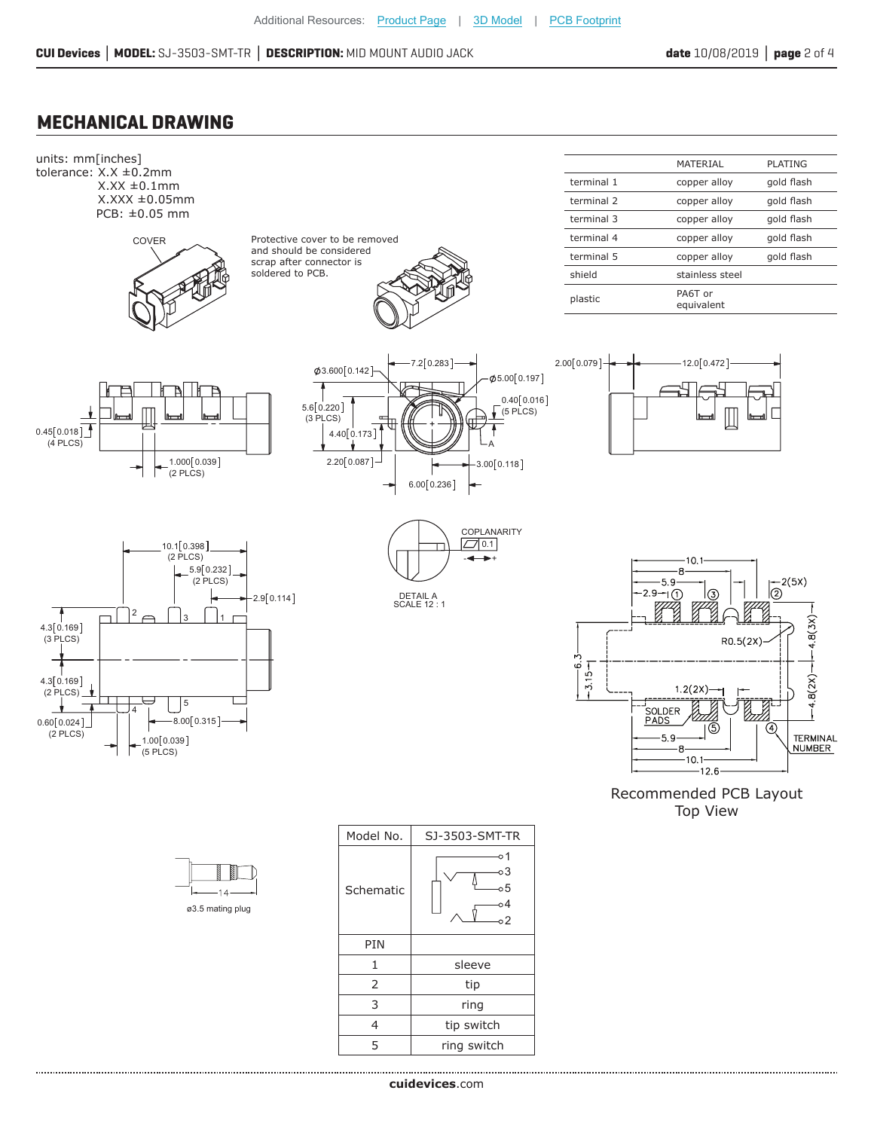#### **MECHANICAL DRAWING**



1 | sleeve 2  $\vert$  tip 3 ring 4 | tip switch 5 | ring switch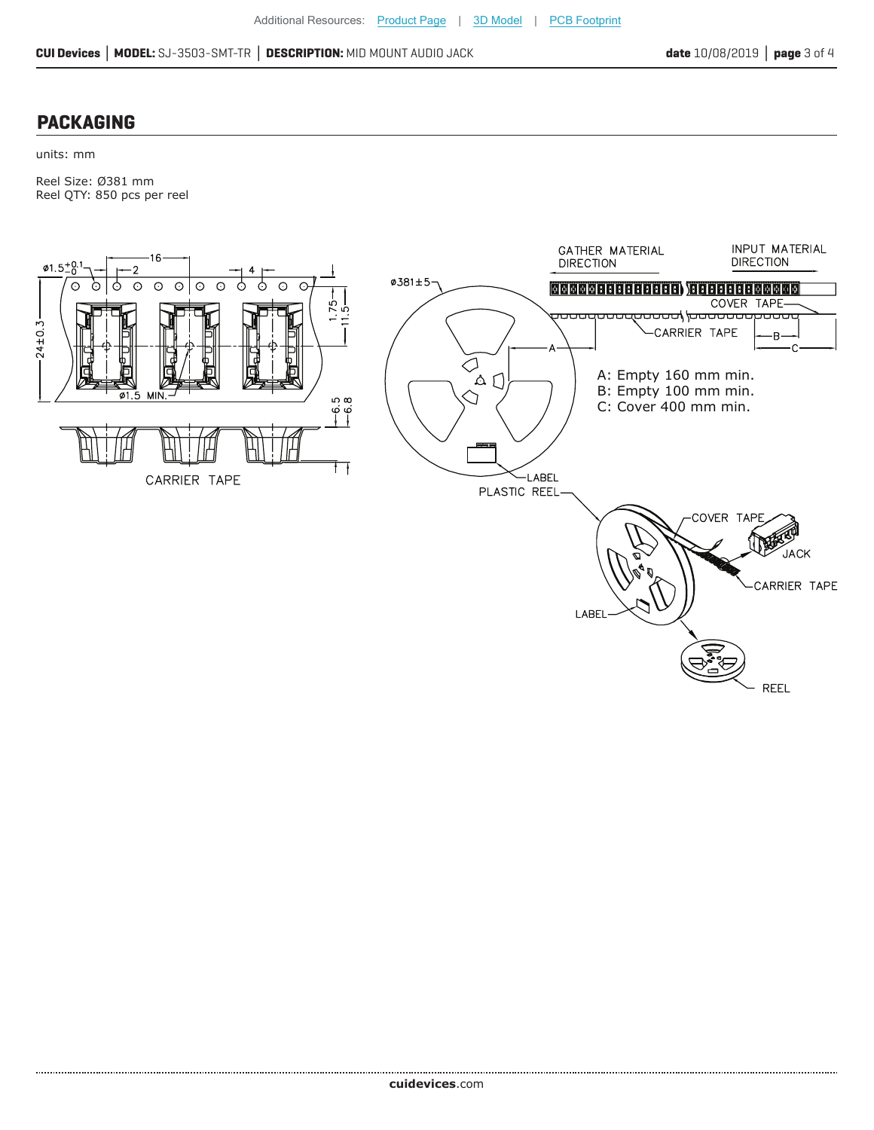#### **PACKAGING**

units: mm

Reel Size: Ø381 mm Reel QTY: 850 pcs per reel